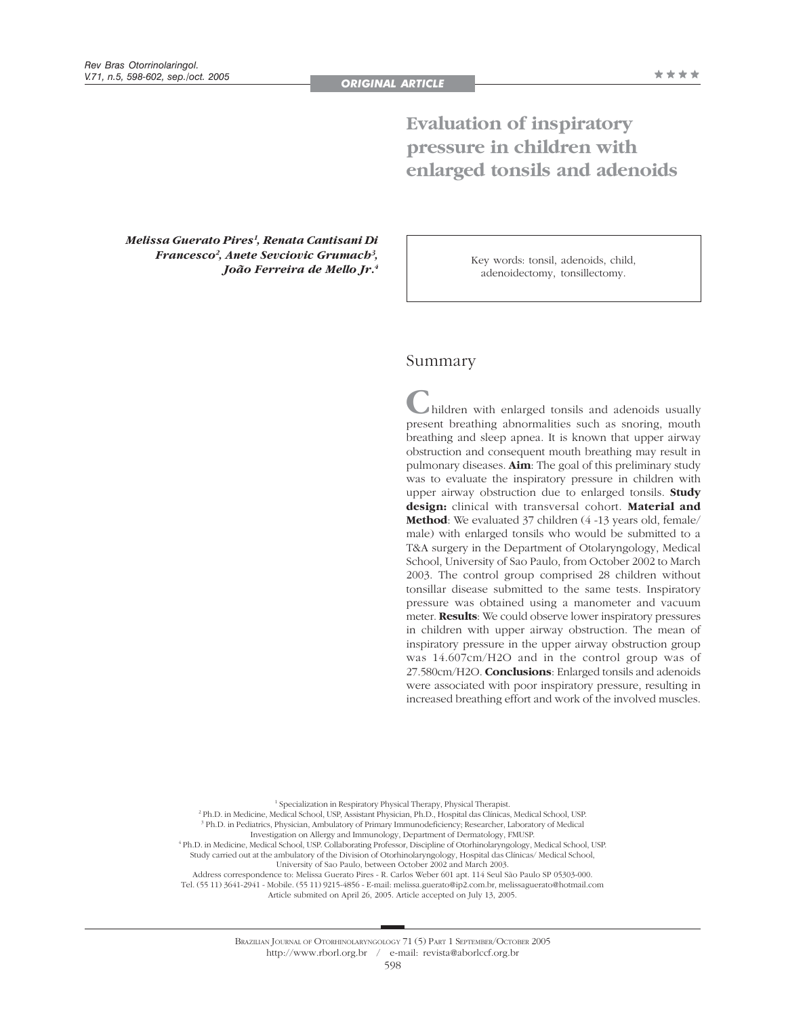# **Evaluation of inspiratory pressure in children with enlarged tonsils and adenoids**

*Melissa Guerato Pires1 , Renata Cantisani Di Francesco2 , Anete Sevciovic Grumach3 , João Ferreira de Mello Jr.4*

Key words: tonsil, adenoids, child, adenoidectomy, tonsillectomy.

## Summary

**C**hildren with enlarged tonsils and adenoids usually present breathing abnormalities such as snoring, mouth breathing and sleep apnea. It is known that upper airway obstruction and consequent mouth breathing may result in pulmonary diseases. **Aim**: The goal of this preliminary study was to evaluate the inspiratory pressure in children with upper airway obstruction due to enlarged tonsils. **Study design:** clinical with transversal cohort. **Material and Method**: We evaluated 37 children (4 -13 years old, female/ male) with enlarged tonsils who would be submitted to a T&A surgery in the Department of Otolaryngology, Medical School, University of Sao Paulo, from October 2002 to March 2003. The control group comprised 28 children without tonsillar disease submitted to the same tests. Inspiratory pressure was obtained using a manometer and vacuum meter. **Results**: We could observe lower inspiratory pressures in children with upper airway obstruction. The mean of inspiratory pressure in the upper airway obstruction group was 14.607cm/H2O and in the control group was of 27.580cm/H2O. **Conclusions**: Enlarged tonsils and adenoids were associated with poor inspiratory pressure, resulting in increased breathing effort and work of the involved muscles.

1 Specialization in Respiratory Physical Therapy, Physical Therapist. 2 Ph.D. in Medicine, Medical School, USP, Assistant Physician, Ph.D., Hospital das Clínicas, Medical School, USP. 3 Ph.D. in Pediatrics, Physician, Ambulatory of Primary Immunodeficiency; Researcher, Laboratory of Medical Investigation on Allergy and Immunology, Department of Dermatology, FMUSP. 4 Ph.D. in Medicine, Medical School, USP. Collaborating Professor, Discipline of Otorhinolaryngology, Medical School, USP. Study carried out at the ambulatory of the Division of Otorhinolaryngology, Hospital das Clínicas/ Medical School, University of Sao Paulo, between October 2002 and March 2003. Address correspondence to: Melissa Guerato Pires - R. Carlos Weber 601 apt. 114 Seul São Paulo SP 05303-000. Tel. (55 11) 3641-2941 - Mobile. (55 11) 9215-4856 - E-mail: melissa.guerato@ip2.com.br, melissaguerato@hotmail.com Article submited on April 26, 2005. Article accepted on July 13, 2005.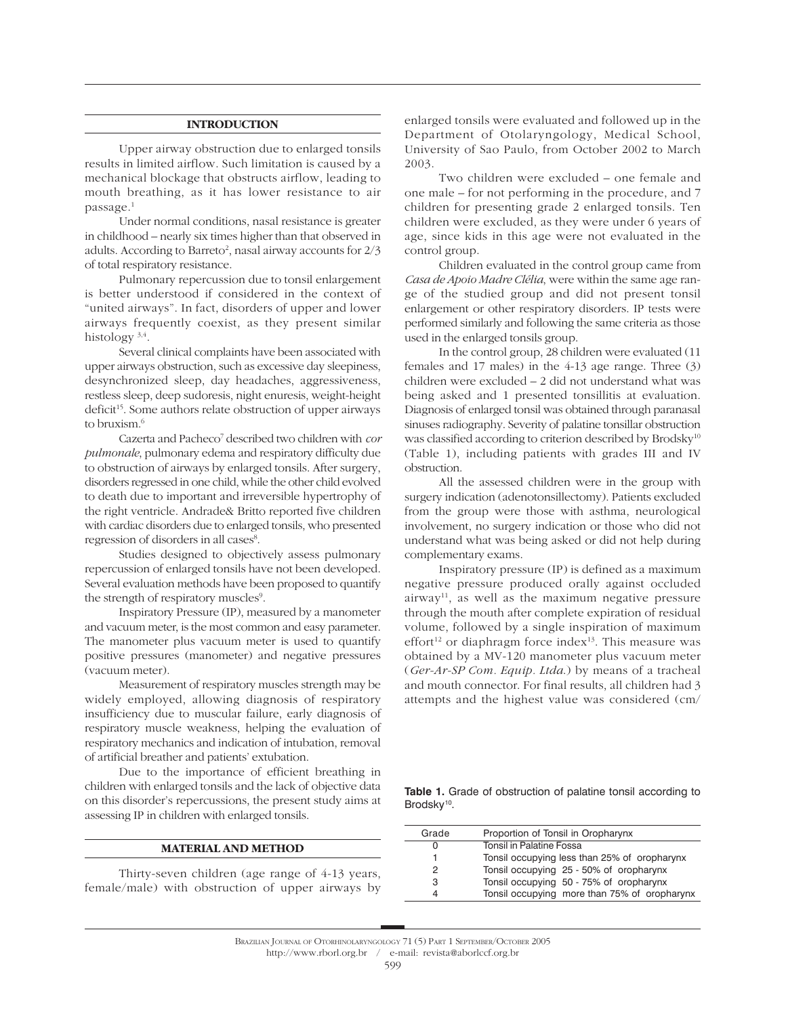## **INTRODUCTION**

Upper airway obstruction due to enlarged tonsils results in limited airflow. Such limitation is caused by a mechanical blockage that obstructs airflow, leading to mouth breathing, as it has lower resistance to air passage.1

Under normal conditions, nasal resistance is greater in childhood – nearly six times higher than that observed in adults. According to Barreto<sup>2</sup>, nasal airway accounts for  $2/3$ of total respiratory resistance.

Pulmonary repercussion due to tonsil enlargement is better understood if considered in the context of "united airways". In fact, disorders of upper and lower airways frequently coexist, as they present similar histology 3,4.

Several clinical complaints have been associated with upper airways obstruction, such as excessive day sleepiness, desynchronized sleep, day headaches, aggressiveness, restless sleep, deep sudoresis, night enuresis, weight-height deficit<sup>15</sup>. Some authors relate obstruction of upper airways to bruxism.6

Cazerta and Pacheco7 described two children with *cor pulmonale*, pulmonary edema and respiratory difficulty due to obstruction of airways by enlarged tonsils. After surgery, disorders regressed in one child, while the other child evolved to death due to important and irreversible hypertrophy of the right ventricle. Andrade& Britto reported five children with cardiac disorders due to enlarged tonsils, who presented regression of disorders in all cases<sup>8</sup>.

Studies designed to objectively assess pulmonary repercussion of enlarged tonsils have not been developed. Several evaluation methods have been proposed to quantify the strength of respiratory muscles<sup>9</sup>.

Inspiratory Pressure (IP), measured by a manometer and vacuum meter, is the most common and easy parameter. The manometer plus vacuum meter is used to quantify positive pressures (manometer) and negative pressures (vacuum meter).

Measurement of respiratory muscles strength may be widely employed, allowing diagnosis of respiratory insufficiency due to muscular failure, early diagnosis of respiratory muscle weakness, helping the evaluation of respiratory mechanics and indication of intubation, removal of artificial breather and patients' extubation.

Due to the importance of efficient breathing in children with enlarged tonsils and the lack of objective data on this disorder's repercussions, the present study aims at assessing IP in children with enlarged tonsils.

#### **MATERIAL AND METHOD**

Thirty-seven children (age range of 4-13 years, female/male) with obstruction of upper airways by enlarged tonsils were evaluated and followed up in the Department of Otolaryngology, Medical School, University of Sao Paulo, from October 2002 to March 2003.

Two children were excluded – one female and one male – for not performing in the procedure, and 7 children for presenting grade 2 enlarged tonsils. Ten children were excluded, as they were under 6 years of age, since kids in this age were not evaluated in the control group.

Children evaluated in the control group came from *Casa de Apoio Madre Clélia*, were within the same age range of the studied group and did not present tonsil enlargement or other respiratory disorders. IP tests were performed similarly and following the same criteria as those used in the enlarged tonsils group.

In the control group, 28 children were evaluated (11 females and 17 males) in the 4-13 age range. Three (3) children were excluded – 2 did not understand what was being asked and 1 presented tonsillitis at evaluation. Diagnosis of enlarged tonsil was obtained through paranasal sinuses radiography. Severity of palatine tonsillar obstruction was classified according to criterion described by Brodsky<sup>10</sup> (Table 1), including patients with grades III and IV obstruction.

All the assessed children were in the group with surgery indication (adenotonsillectomy). Patients excluded from the group were those with asthma, neurological involvement, no surgery indication or those who did not understand what was being asked or did not help during complementary exams.

Inspiratory pressure (IP) is defined as a maximum negative pressure produced orally against occluded  $airway<sup>11</sup>$ , as well as the maximum negative pressure through the mouth after complete expiration of residual volume, followed by a single inspiration of maximum effort<sup>12</sup> or diaphragm force index<sup>13</sup>. This measure was obtained by a MV-120 manometer plus vacuum meter (*Ger-Ar-SP Com. Equip. Ltda*.) by means of a tracheal and mouth connector. For final results, all children had 3 attempts and the highest value was considered (cm/

**Table 1.** Grade of obstruction of palatine tonsil according to Brodsky<sup>10</sup>.

| Grade | Proportion of Tonsil in Oropharynx           |
|-------|----------------------------------------------|
| 0     | Tonsil in Palatine Fossa                     |
|       | Tonsil occupying less than 25% of oropharynx |
| 2     | Tonsil occupying 25 - 50% of oropharynx      |
| 3     | Tonsil occupying 50 - 75% of oropharynx      |
|       | Tonsil occupying more than 75% of oropharynx |
|       |                                              |

BRAZILIAN JOURNAL OF OTORHINOLARYNGOLOGY 71 (5) PART 1 SEPTEMBER/OCTOBER 2005 http://www.rborl.org.br / e-mail: revista@aborlccf.org.br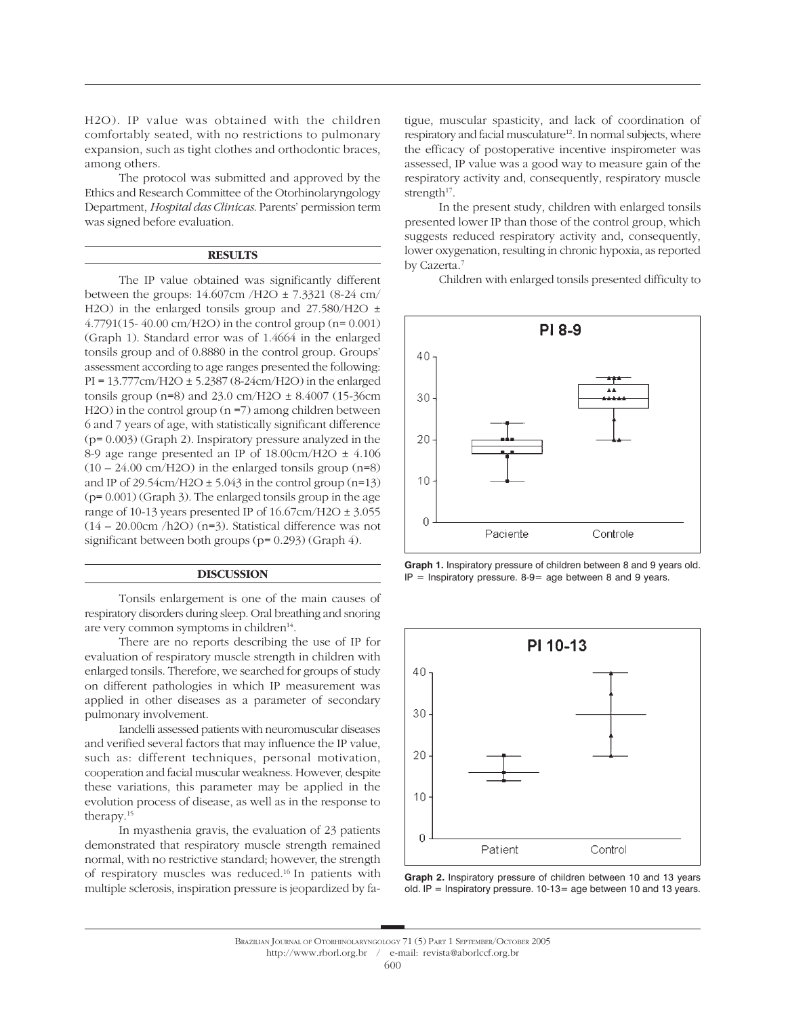H2O). IP value was obtained with the children comfortably seated, with no restrictions to pulmonary expansion, such as tight clothes and orthodontic braces, among others.

The protocol was submitted and approved by the Ethics and Research Committee of the Otorhinolaryngology Department, *Hospital das Clinicas*. Parents' permission term was signed before evaluation.

## **RESULTS**

The IP value obtained was significantly different between the groups: 14.607cm /H2O ± 7.3321 (8-24 cm/ H2O) in the enlarged tonsils group and 27.580/H2O ± 4.7791(15- 40.00 cm/H2O) in the control group (n= 0.001) (Graph 1). Standard error was of 1.4664 in the enlarged tonsils group and of 0.8880 in the control group. Groups' assessment according to age ranges presented the following: PI = 13.777cm/H2O ± 5.2387 (8-24cm/H2O) in the enlarged tonsils group (n=8) and 23.0 cm/H2O  $\pm$  8.4007 (15-36cm H2O) in the control group (n =7) among children between 6 and 7 years of age, with statistically significant difference (p= 0.003) (Graph 2). Inspiratory pressure analyzed in the 8-9 age range presented an IP of  $18.00 \text{cm}/\text{H2O} \pm 4.106$  $(10 - 24.00 \text{ cm}/\text{H2O})$  in the enlarged tonsils group  $(n=8)$ and IP of  $29.54 \text{cm}/\text{H2O} \pm 5.043$  in the control group (n=13) (p= 0.001) (Graph 3). The enlarged tonsils group in the age range of 10-13 years presented IP of  $16.67 \text{cm}/\text{H2O} \pm 3.055$ (14 – 20.00cm /h2O) (n=3). Statistical difference was not significant between both groups (p= 0.293) (Graph 4).

## **DISCUSSION**

Tonsils enlargement is one of the main causes of respiratory disorders during sleep. Oral breathing and snoring are very common symptoms in children<sup>14</sup>.

There are no reports describing the use of IP for evaluation of respiratory muscle strength in children with enlarged tonsils. Therefore, we searched for groups of study on different pathologies in which IP measurement was applied in other diseases as a parameter of secondary pulmonary involvement.

Iandelli assessed patients with neuromuscular diseases and verified several factors that may influence the IP value, such as: different techniques, personal motivation, cooperation and facial muscular weakness. However, despite these variations, this parameter may be applied in the evolution process of disease, as well as in the response to therapy.15

In myasthenia gravis, the evaluation of 23 patients demonstrated that respiratory muscle strength remained normal, with no restrictive standard; however, the strength of respiratory muscles was reduced.16 In patients with multiple sclerosis, inspiration pressure is jeopardized by fatigue, muscular spasticity, and lack of coordination of respiratory and facial musculature<sup>12</sup>. In normal subjects, where the efficacy of postoperative incentive inspirometer was assessed, IP value was a good way to measure gain of the respiratory activity and, consequently, respiratory muscle strength $17$ .

In the present study, children with enlarged tonsils presented lower IP than those of the control group, which suggests reduced respiratory activity and, consequently, lower oxygenation, resulting in chronic hypoxia, as reported by Cazerta.7

Children with enlarged tonsils presented difficulty to









BRAZILIAN JOURNAL OF OTORHINOLARYNGOLOGY 71 (5) PART 1 SEPTEMBER/OCTOBER 2005 http://www.rborl.org.br / e-mail: revista@aborlccf.org.br